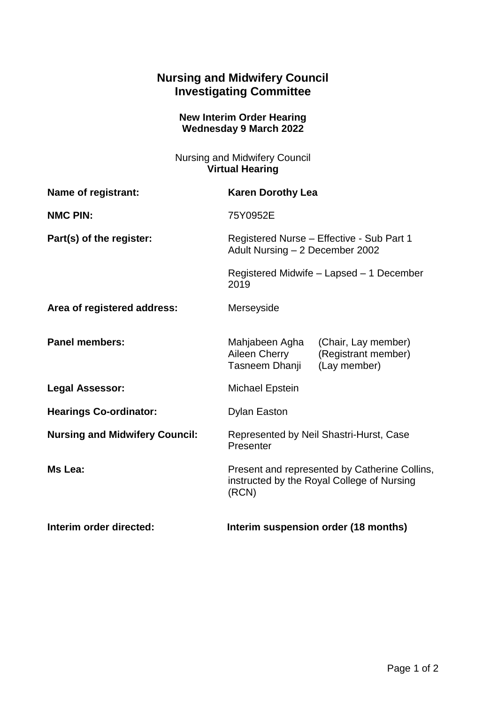## **Nursing and Midwifery Council Investigating Committee**

## **New Interim Order Hearing Wednesday 9 March 2022**

Nursing and Midwifery Council **Virtual Hearing**

| Name of registrant:                   | <b>Karen Dorothy Lea</b>                                                                                        |
|---------------------------------------|-----------------------------------------------------------------------------------------------------------------|
| <b>NMC PIN:</b>                       | 75Y0952E                                                                                                        |
| Part(s) of the register:              | Registered Nurse - Effective - Sub Part 1<br>Adult Nursing - 2 December 2002                                    |
|                                       | Registered Midwife - Lapsed - 1 December<br>2019                                                                |
| Area of registered address:           | Merseyside                                                                                                      |
| <b>Panel members:</b>                 | Mahjabeen Agha<br>(Chair, Lay member)<br>Aileen Cherry<br>(Registrant member)<br>Tasneem Dhanji<br>(Lay member) |
| <b>Legal Assessor:</b>                | Michael Epstein                                                                                                 |
| <b>Hearings Co-ordinator:</b>         | <b>Dylan Easton</b>                                                                                             |
| <b>Nursing and Midwifery Council:</b> | Represented by Neil Shastri-Hurst, Case<br>Presenter                                                            |
| Ms Lea:                               | Present and represented by Catherine Collins,<br>instructed by the Royal College of Nursing<br>(RCN)            |
| Interim order directed:               | Interim suspension order (18 months)                                                                            |